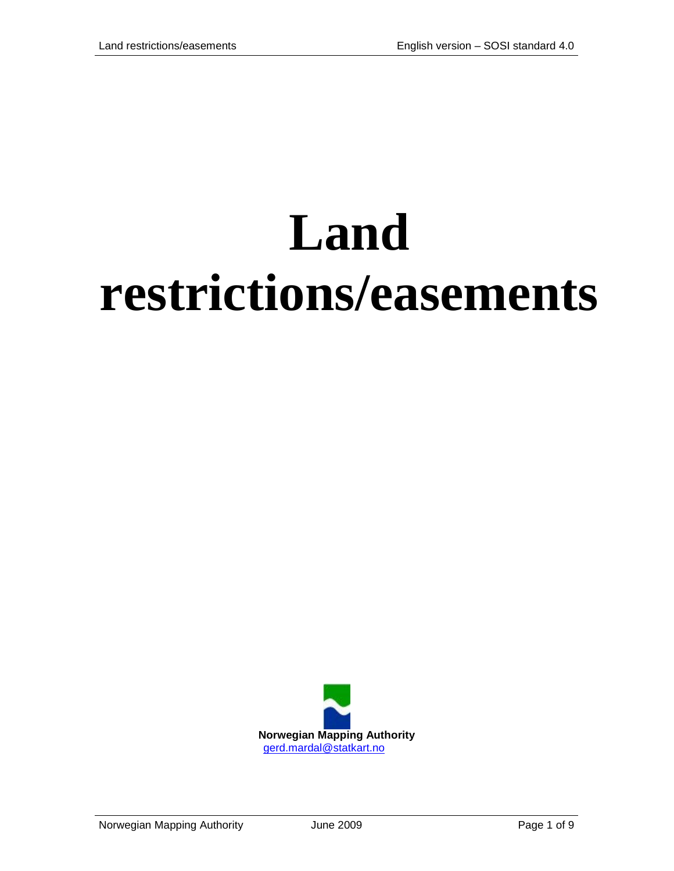# **Land restrictions/easements**

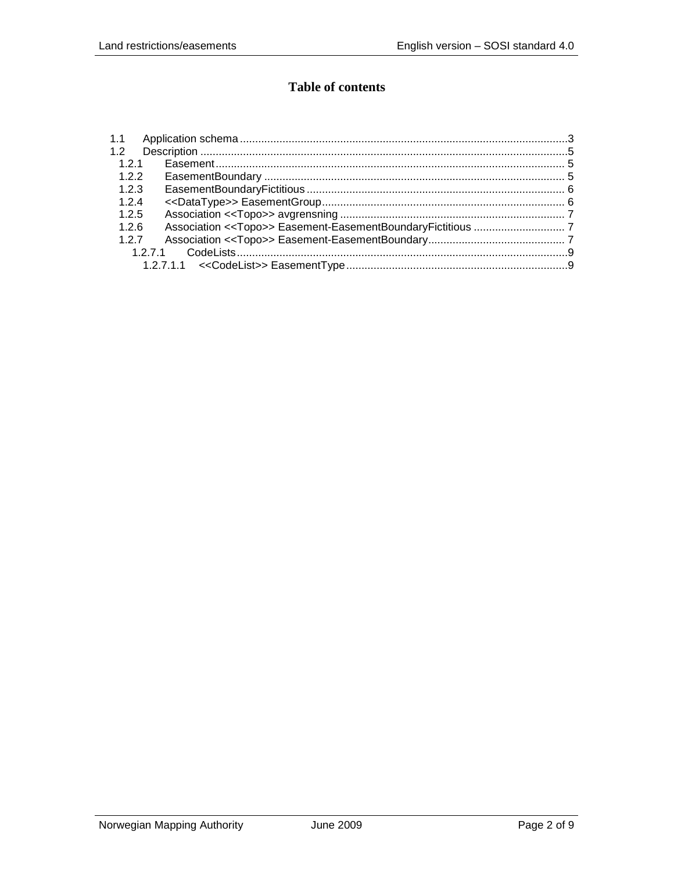## **Table of contents**

| 1.1   |      |  |
|-------|------|--|
| 1.2   |      |  |
| 121   |      |  |
| 1.2.2 |      |  |
| 1.2.3 |      |  |
| 1.2.4 |      |  |
| 1.2.5 |      |  |
| 1.2.6 |      |  |
| 1.2.7 |      |  |
|       | 1271 |  |
|       |      |  |
|       |      |  |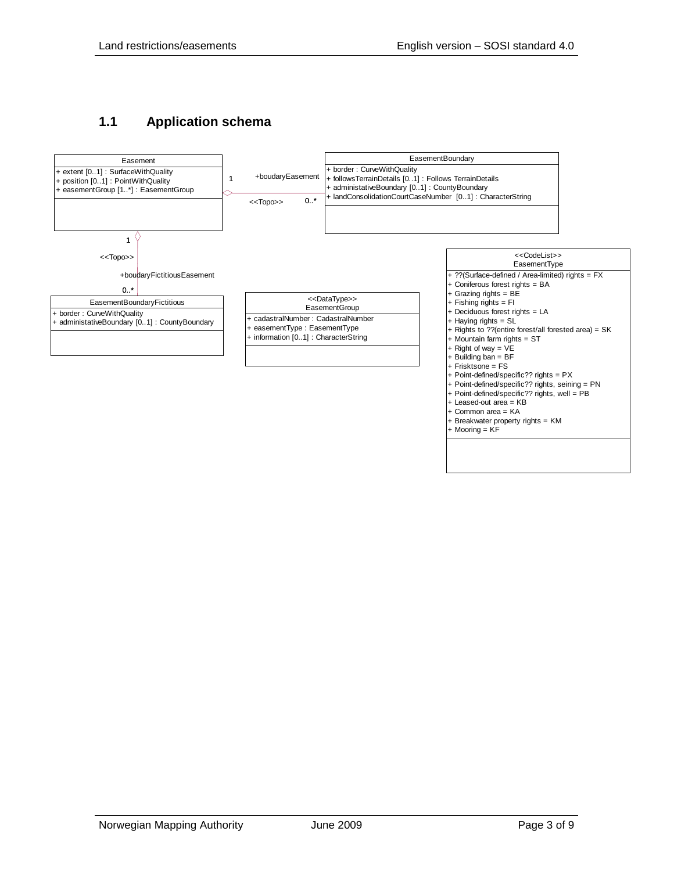## <span id="page-2-0"></span>**1.1 Application schema**

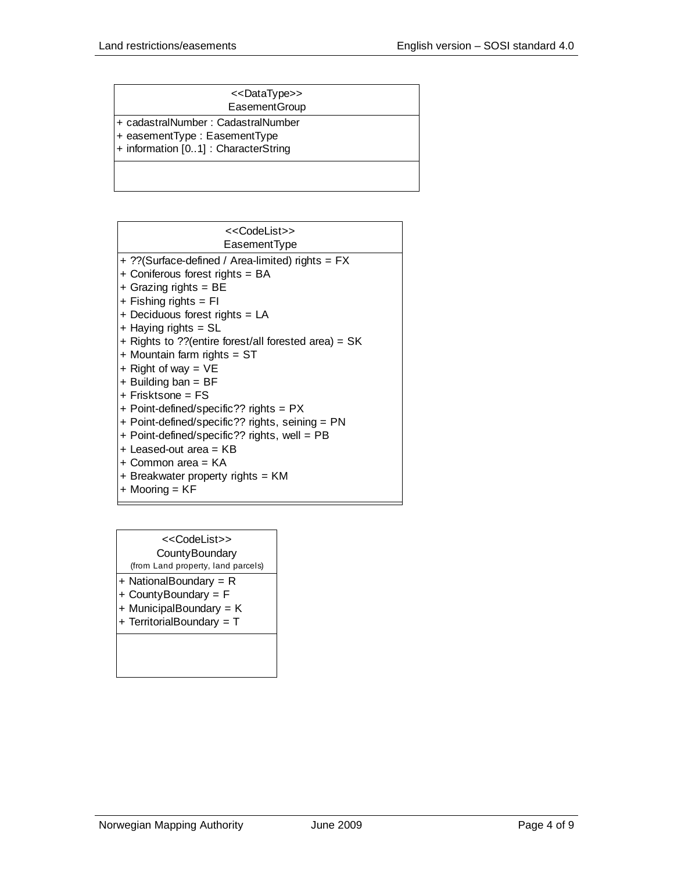| < <datatype>&gt;</datatype> |  |
|-----------------------------|--|
|-----------------------------|--|

**EasementGroup** 

- + cadastralNumber : CadastralNumber
- + easementType : EasementType
- + information [0..1] : CharacterString

| < <codelist>&gt;</codelist>                           |
|-------------------------------------------------------|
| EasementType                                          |
| + ??(Surface-defined / Area-limited) rights = FX      |
| + Coniferous forest rights = BA                       |
| $+$ Grazing rights = BE                               |
| $+$ Fishing rights = FI                               |
| + Deciduous forest rights = LA                        |
| $+$ Haying rights = SL                                |
| + Rights to ?? (entire forest/all forested area) = SK |
| + Mountain farm rights = ST                           |
| + Right of way = $VE$                                 |
| $+$ Building ban = BF                                 |
| $+$ Frisktsone = FS                                   |
| + Point-defined/specific?? rights = PX                |
| + Point-defined/specific?? rights, seining = PN       |
| + Point-defined/specific?? rights, well = PB          |
| + Leased-out area = KB                                |
| + Common area = KA                                    |
| + Breakwater property rights = KM                     |
| + Mooring = KF                                        |

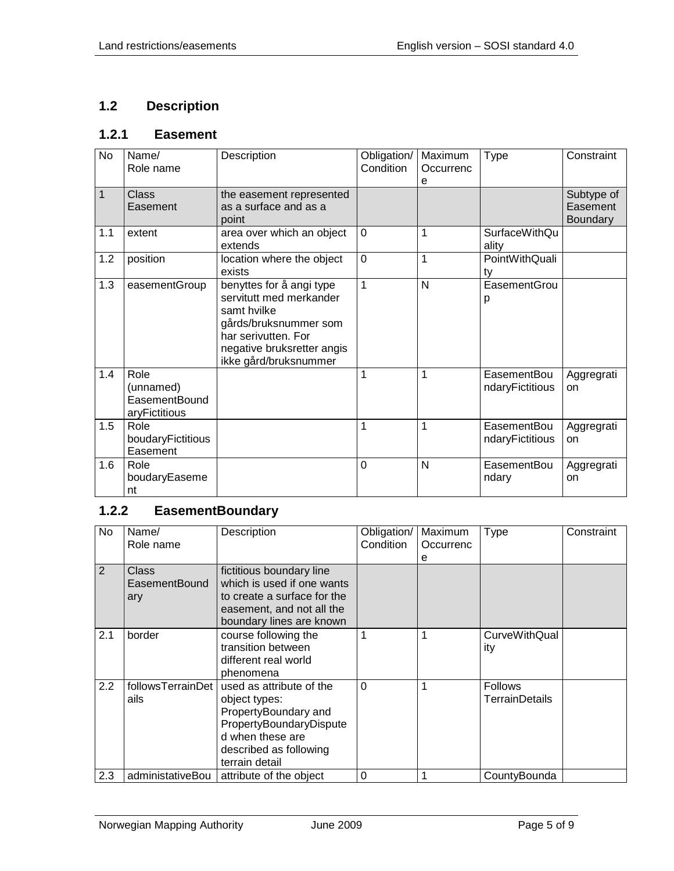## <span id="page-4-0"></span>**1.2 Description**

## <span id="page-4-1"></span>**1.2.1 Easement**

| No  | Name/<br>Role name                                  | Description                                                                                                                                                               | Obligation/<br>Condition | Maximum<br>Occurrenc<br>e | <b>Type</b>                    | Constraint                         |
|-----|-----------------------------------------------------|---------------------------------------------------------------------------------------------------------------------------------------------------------------------------|--------------------------|---------------------------|--------------------------------|------------------------------------|
| 1   | Class<br>Easement                                   | the easement represented<br>as a surface and as a<br>point                                                                                                                |                          |                           |                                | Subtype of<br>Easement<br>Boundary |
| 1.1 | extent                                              | area over which an object<br>extends                                                                                                                                      | $\mathbf 0$              | 1                         | <b>SurfaceWithQu</b><br>ality  |                                    |
| 1.2 | position                                            | location where the object<br>exists                                                                                                                                       | $\overline{0}$           | 1                         | PointWithQuali<br>ty           |                                    |
| 1.3 | easementGroup                                       | benyttes for å angi type<br>servitutt med merkander<br>samt hvilke<br>gårds/bruksnummer som<br>har serivutten. For<br>negative bruksretter angis<br>ikke gård/bruksnummer | $\mathbf{1}$             | N                         | EasementGrou<br>р              |                                    |
| 1.4 | Role<br>(unnamed)<br>EasementBound<br>aryFictitious |                                                                                                                                                                           | 1                        | 1                         | EasementBou<br>ndaryFictitious | Aggregrati<br>on                   |
| 1.5 | Role<br>boudaryFictitious<br>Easement               |                                                                                                                                                                           | 1                        | 1                         | EasementBou<br>ndaryFictitious | Aggregrati<br>on                   |
| 1.6 | Role<br>boudaryEaseme<br>nt                         |                                                                                                                                                                           | $\mathbf 0$              | N                         | EasementBou<br>ndary           | Aggregrati<br>on                   |

# <span id="page-4-2"></span>**1.2.2 EasementBoundary**

| No.            | Name/<br>Role name            | Description                                                                                                                                                  | Obligation/<br>Condition | Maximum<br>Occurrenc<br>е | <b>Type</b>                      | Constraint |
|----------------|-------------------------------|--------------------------------------------------------------------------------------------------------------------------------------------------------------|--------------------------|---------------------------|----------------------------------|------------|
| $\overline{2}$ | Class<br>EasementBound<br>ary | fictitious boundary line<br>which is used if one wants<br>to create a surface for the<br>easement, and not all the<br>boundary lines are known               |                          |                           |                                  |            |
| 2.1            | border                        | course following the<br>transition between<br>different real world<br>phenomena                                                                              | 1                        |                           | <b>CurveWithQual</b><br>ity      |            |
| 2.2            | followsTerrainDet<br>ails     | used as attribute of the<br>object types:<br>PropertyBoundary and<br>PropertyBoundaryDispute<br>d when these are<br>described as following<br>terrain detail | $\Omega$                 |                           | <b>Follows</b><br>TerrainDetails |            |
| 2.3            | administativeBou              | attribute of the object                                                                                                                                      | 0                        |                           | CountyBounda                     |            |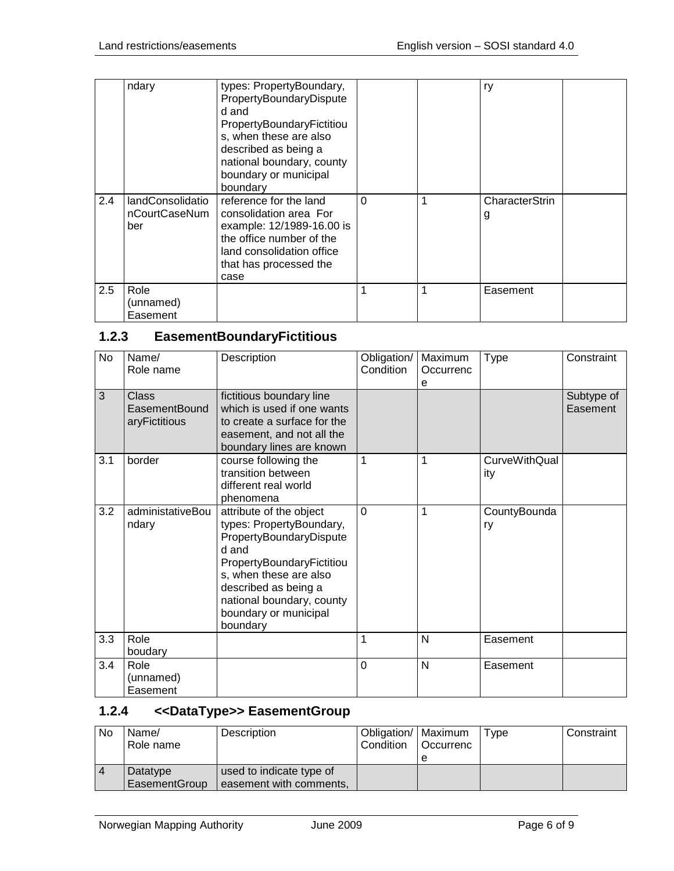|     | ndary                                    | types: PropertyBoundary,<br>PropertyBoundaryDispute<br>d and<br>PropertyBoundaryFictitiou<br>s, when these are also<br>described as being a<br>national boundary, county<br>boundary or municipal<br>boundary |   |   | ry                  |  |
|-----|------------------------------------------|---------------------------------------------------------------------------------------------------------------------------------------------------------------------------------------------------------------|---|---|---------------------|--|
| 2.4 | landConsolidatio<br>nCourtCaseNum<br>ber | reference for the land<br>consolidation area For<br>example: 12/1989-16.00 is<br>the office number of the<br>land consolidation office<br>that has processed the<br>case                                      | 0 | 1 | CharacterStrin<br>g |  |
| 2.5 | Role<br>(unnamed)<br>Easement            |                                                                                                                                                                                                               |   | 1 | Easement            |  |

# <span id="page-5-0"></span>**1.2.3 EasementBoundaryFictitious**

| <b>No</b> | Name/<br>Role name                      | Description                                                                                                                                                                                                                              | Obligation/<br>Condition | Maximum<br>Occurrenc<br>e | <b>Type</b>                 | Constraint             |
|-----------|-----------------------------------------|------------------------------------------------------------------------------------------------------------------------------------------------------------------------------------------------------------------------------------------|--------------------------|---------------------------|-----------------------------|------------------------|
| 3         | Class<br>EasementBound<br>aryFictitious | fictitious boundary line<br>which is used if one wants<br>to create a surface for the<br>easement, and not all the<br>boundary lines are known                                                                                           |                          |                           |                             | Subtype of<br>Easement |
| 3.1       | border                                  | course following the<br>transition between<br>different real world<br>phenomena                                                                                                                                                          | 1                        | 1                         | <b>CurveWithQual</b><br>ity |                        |
| 3.2       | administativeBou<br>ndary               | attribute of the object<br>types: PropertyBoundary,<br>PropertyBoundaryDispute<br>d and<br>PropertyBoundaryFictitiou<br>s, when these are also<br>described as being a<br>national boundary, county<br>boundary or municipal<br>boundary | $\overline{0}$           | 1                         | CountyBounda<br>ry          |                        |
| 3.3       | Role<br>boudary                         |                                                                                                                                                                                                                                          | 1                        | N                         | Easement                    |                        |
| 3.4       | Role<br>(unnamed)<br>Easement           |                                                                                                                                                                                                                                          | $\mathbf 0$              | N                         | Easement                    |                        |

# <span id="page-5-1"></span>**1.2.4 <<DataType>> EasementGroup**

| No | Name/<br>Role name        | Description                                         | Obligation/   Maximum<br><b>Condition</b> | <b>Occurrenc</b> | Tvpe | Constraint |
|----|---------------------------|-----------------------------------------------------|-------------------------------------------|------------------|------|------------|
|    | Datatype<br>EasementGroup | used to indicate type of<br>easement with comments, |                                           |                  |      |            |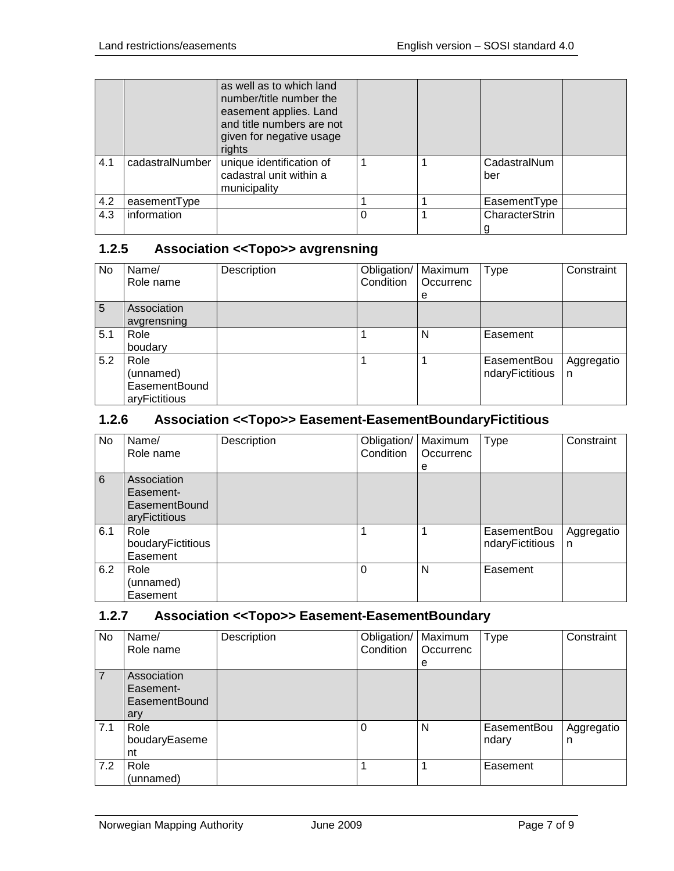|     |                 | as well as to which land<br>number/title number the<br>easement applies. Land<br>and title numbers are not<br>given for negative usage<br>rights |  |                     |
|-----|-----------------|--------------------------------------------------------------------------------------------------------------------------------------------------|--|---------------------|
| 4.1 | cadastralNumber | unique identification of<br>cadastral unit within a<br>municipality                                                                              |  | CadastralNum<br>ber |
| 4.2 | easementType    |                                                                                                                                                  |  | EasementType        |
| 4.3 | information     |                                                                                                                                                  |  | CharacterStrin      |

#### <span id="page-6-0"></span>**1.2.5 Association <<Topo>> avgrensning**

| No. | Name/<br>Role name                                         | Description | Obligation/<br>Condition | Maximum<br>Occurrenc<br>е | <b>Type</b>                    | Constraint      |
|-----|------------------------------------------------------------|-------------|--------------------------|---------------------------|--------------------------------|-----------------|
| 5   | Association<br>avgrensning                                 |             |                          |                           |                                |                 |
| 5.1 | Role<br>boudary                                            |             |                          | N                         | Easement                       |                 |
| 5.2 | Role<br>(unnamed)<br><b>EasementBound</b><br>aryFictitious |             |                          |                           | EasementBou<br>ndaryFictitious | Aggregatio<br>n |

#### <span id="page-6-1"></span>**1.2.6 Association <<Topo>> Easement-EasementBoundaryFictitious**

| No  | Name/             | Description | Obligation/ | Maximum   | <b>Type</b>     | Constraint |
|-----|-------------------|-------------|-------------|-----------|-----------------|------------|
|     | Role name         |             | Condition   | Occurrenc |                 |            |
|     |                   |             |             | e         |                 |            |
| 6   | Association       |             |             |           |                 |            |
|     | Easement-         |             |             |           |                 |            |
|     | EasementBound     |             |             |           |                 |            |
|     | aryFictitious     |             |             |           |                 |            |
| 6.1 | Role              |             |             |           | EasementBou     | Aggregatio |
|     | boudaryFictitious |             |             |           | ndaryFictitious | n          |
|     | Easement          |             |             |           |                 |            |
| 6.2 | Role              |             | $\Omega$    | N         | Easement        |            |
|     | (unnamed)         |             |             |           |                 |            |
|     | Easement          |             |             |           |                 |            |

### <span id="page-6-2"></span>**1.2.7 Association <<Topo>> Easement-EasementBoundary**

| No. | Name/<br>Role name                                      | Description | Obligation/<br>Condition | Maximum<br>Occurrenc<br>е | Type                 | Constraint      |
|-----|---------------------------------------------------------|-------------|--------------------------|---------------------------|----------------------|-----------------|
|     | Association<br>Easement-<br><b>EasementBound</b><br>ary |             |                          |                           |                      |                 |
| 7.1 | Role<br>boudaryEaseme<br>nt                             |             | 0                        | N                         | EasementBou<br>ndary | Aggregatio<br>n |
| 7.2 | Role<br>(unnamed)                                       |             |                          |                           | Easement             |                 |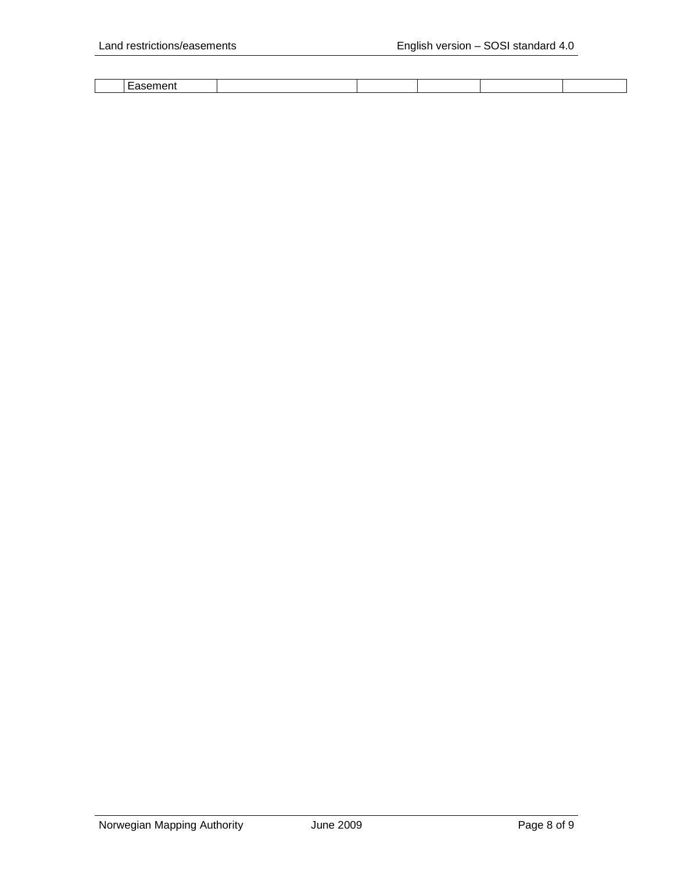| <b>Contract Contract Contract</b> |  |  |  |
|-----------------------------------|--|--|--|
|                                   |  |  |  |